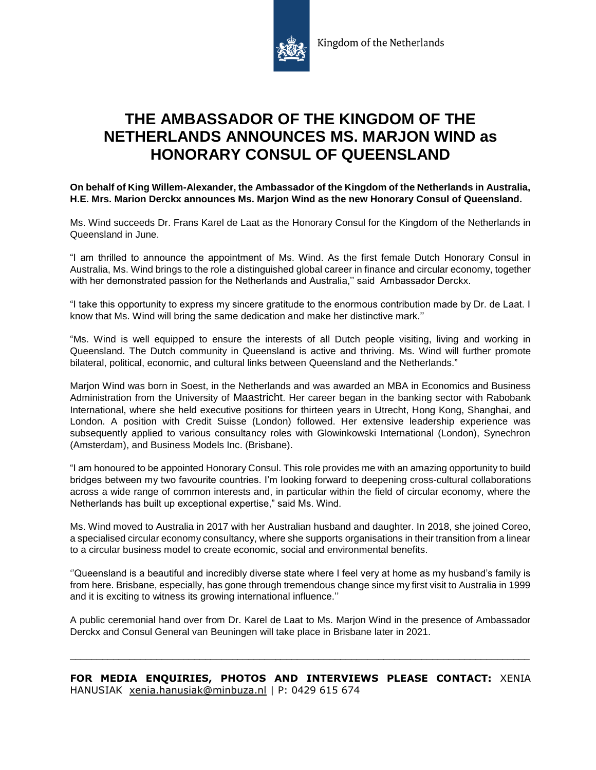

## **THE AMBASSADOR OF THE KINGDOM OF THE NETHERLANDS ANNOUNCES MS. MARJON WIND as HONORARY CONSUL OF QUEENSLAND**

**On behalf of King Willem-Alexander, the Ambassador of the Kingdom of the Netherlands in Australia, H.E. Mrs. Marion Derckx announces Ms. Marjon Wind as the new Honorary Consul of Queensland.** 

Ms. Wind succeeds Dr. Frans Karel de Laat as the Honorary Consul for the Kingdom of the Netherlands in Queensland in June.

"I am thrilled to announce the appointment of Ms. Wind. As the first female Dutch Honorary Consul in Australia, Ms. Wind brings to the role a distinguished global career in finance and circular economy, together with her demonstrated passion for the Netherlands and Australia,'' said Ambassador Derckx.

"I take this opportunity to express my sincere gratitude to the enormous contribution made by Dr. de Laat. I know that Ms. Wind will bring the same dedication and make her distinctive mark.''

"Ms. Wind is well equipped to ensure the interests of all Dutch people visiting, living and working in Queensland. The Dutch community in Queensland is active and thriving. Ms. Wind will further promote bilateral, political, economic, and cultural links between Queensland and the Netherlands."

Marjon Wind was born in Soest, in the Netherlands and was awarded an MBA in Economics and Business Administration from the University of Maastricht. Her career began in the banking sector with Rabobank International, where she held executive positions for thirteen years in Utrecht, Hong Kong, Shanghai, and London. A position with Credit Suisse (London) followed. Her extensive leadership experience was subsequently applied to various consultancy roles with Glowinkowski International (London), Synechron (Amsterdam), and Business Models Inc. (Brisbane).

"I am honoured to be appointed Honorary Consul. This role provides me with an amazing opportunity to build bridges between my two favourite countries. I'm looking forward to deepening cross-cultural collaborations across a wide range of common interests and, in particular within the field of circular economy, where the Netherlands has built up exceptional expertise," said Ms. Wind.

Ms. Wind moved to Australia in 2017 with her Australian husband and daughter. In 2018, she joined Coreo, a specialised circular economy consultancy, where she supports organisations in their transition from a linear to a circular business model to create economic, social and environmental benefits.

''Queensland is a beautiful and incredibly diverse state where I feel very at home as my husband's family is from here. Brisbane, especially, has gone through tremendous change since my first visit to Australia in 1999 and it is exciting to witness its growing international influence.''

A public ceremonial hand over from Dr. Karel de Laat to Ms. Marjon Wind in the presence of Ambassador Derckx and Consul General van Beuningen will take place in Brisbane later in 2021.

\_\_\_\_\_\_\_\_\_\_\_\_\_\_\_\_\_\_\_\_\_\_\_\_\_\_\_\_\_\_\_\_\_\_\_\_\_\_\_\_\_\_\_\_\_\_\_\_\_\_\_\_\_\_\_\_\_\_\_\_\_\_\_\_\_\_\_\_\_\_\_\_\_\_\_\_\_\_\_\_\_\_\_\_\_

**FOR MEDIA ENQUIRIES, PHOTOS AND INTERVIEWS PLEASE CONTACT:** XENIA HANUSIAK [xenia.hanusiak@minbuza.nl](mailto:xenia.hanusiak@minbuza.nl) | P: 0429 615 674